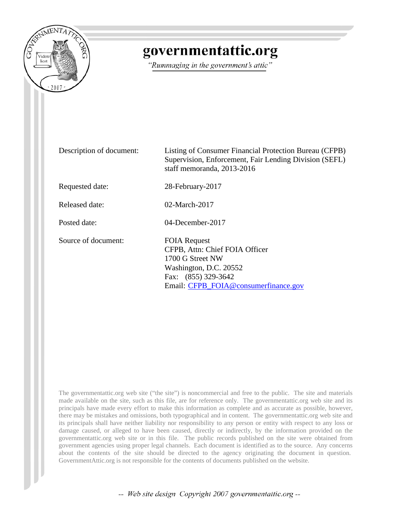

## governmentattic.org

"Rummaging in the government's attic"

Description of document: Listing of Consumer Financial Protection Bureau (CFPB) Supervision, Enforcement, Fair Lending Division (SEFL) staff memoranda, 2013-2016 Requested date: 28-February-2017 Released date: 02-March-2017 Posted date: 04-December-2017 Source of document: FOIA Request CFPB, Attn: Chief FOIA Officer 1700 G Street NW Washington, D.C. 20552 Fax: (855) 329-3642 Email: [CFPB\\_FOIA@consumerfinance.gov](mailto:CFPB_FOIA@consumerfinance.gov?subject=FOIA%20Request)

The governmentattic.org web site ("the site") is noncommercial and free to the public. The site and materials made available on the site, such as this file, are for reference only. The governmentattic.org web site and its principals have made every effort to make this information as complete and as accurate as possible, however, there may be mistakes and omissions, both typographical and in content. The governmentattic.org web site and its principals shall have neither liability nor responsibility to any person or entity with respect to any loss or damage caused, or alleged to have been caused, directly or indirectly, by the information provided on the governmentattic.org web site or in this file. The public records published on the site were obtained from government agencies using proper legal channels. Each document is identified as to the source. Any concerns about the contents of the site should be directed to the agency originating the document in question. GovernmentAttic.org is not responsible for the contents of documents published on the website.

-- Web site design Copyright 2007 governmentattic.org --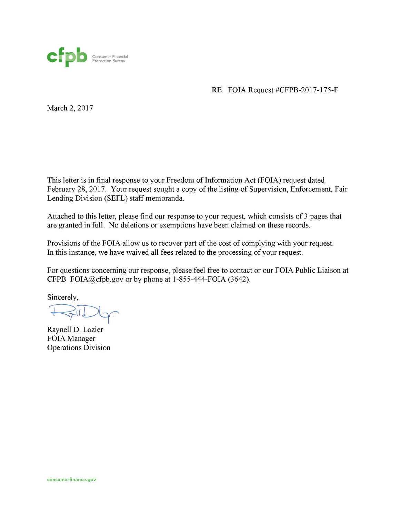

RE: FOIA Request #CFPB-2017-175-F

March 2, 2017

This letter is in final response to your Freedom of Information Act (FOIA) request dated February 28, 2017. Your request sought a copy of the listing of Supervision, Enforcement, Fair Lending Division (SEFL) staff memoranda.

Attached to this letter, please find our response to your request, which consists of 3 pages that are granted in full. No deletions or exemptions have been claimed on these records.

Provisions of the FOIA allow us to recover part of the cost of complying with your request. In this instance, we have waived all fees related to the processing of your request.

For questions concerning our response, please feel free to contact or our FOIA Public Liaison at CFPB  $FOLA@cfpb.gov$  or by phone at 1-855-444-FOIA (3642).

Sincerely,

 $\leq$ 

Raynell D. Lazier FOIA Manager Operations Division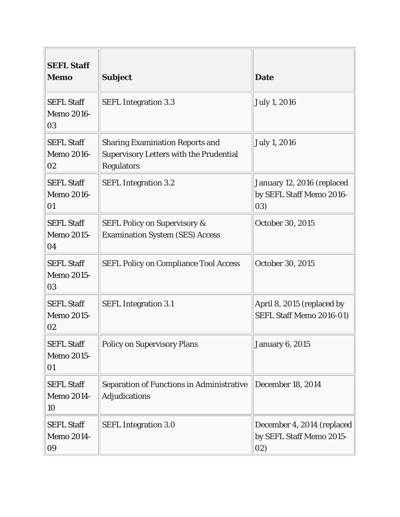| <b>SEFL Staff</b><br><b>Memo</b>             | <b>Subject</b>                                                                                                | <b>Date</b>                                                   |
|----------------------------------------------|---------------------------------------------------------------------------------------------------------------|---------------------------------------------------------------|
| <b>SEFL Staff</b><br><b>Memo 2016-</b><br>03 | <b>SEFL Integration 3.3</b>                                                                                   | <b>July 1, 2016</b>                                           |
| <b>SEFL Staff</b><br><b>Memo 2016-</b><br>02 | <b>Sharing Examination Reports and</b><br><b>Supervisory Letters with the Prudential</b><br><b>Regulators</b> | <b>July 1, 2016</b>                                           |
| <b>SEFL Staff</b><br><b>Memo 2016-</b><br>01 | <b>SEFL Integration 3.2</b>                                                                                   | January 12, 2016 (replaced<br>by SEFL Staff Memo 2016-<br>03) |
| <b>SEFL Staff</b><br><b>Memo 2015-</b><br>04 | <b>SEFL Policy on Supervisory &amp;</b><br><b>Examination System (SES) Access</b>                             | October 30, 2015                                              |
| <b>SEFL Staff</b><br><b>Memo 2015-</b><br>03 | <b>SEFL Policy on Compliance Tool Access</b>                                                                  | October 30, 2015                                              |
| <b>SEFL Staff</b><br><b>Memo 2015-</b><br>02 | <b>SEFL Integration 3.1</b>                                                                                   | April 8, 2015 (replaced by<br>SEFL Staff Memo 2016-01)        |
| <b>SEFL Staff</b><br><b>Memo 2015-</b><br>01 | <b>Policy on Supervisory Plans</b>                                                                            | <b>January 6, 2015</b>                                        |
| <b>SEFL Staff</b><br><b>Memo 2014-</b><br>10 | <b>Separation of Functions in Administrative</b><br><b>Adjudications</b>                                      | <b>December 18, 2014</b>                                      |
| <b>SEFL Staff</b><br><b>Memo 2014-</b><br>09 | <b>SEFL Integration 3.0</b>                                                                                   | December 4, 2014 (replaced<br>by SEFL Staff Memo 2015-<br>02) |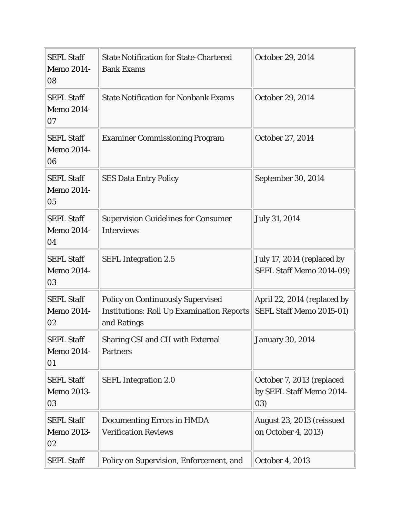| <b>SEFL Staff</b><br><b>Memo 2014-</b><br>08 | <b>State Notification for State-Chartered</b><br><b>Bank Exams</b>                                          | October 29, 2014                                             |
|----------------------------------------------|-------------------------------------------------------------------------------------------------------------|--------------------------------------------------------------|
| <b>SEFL Staff</b><br><b>Memo 2014-</b><br>07 | <b>State Notification for Nonbank Exams</b>                                                                 | October 29, 2014                                             |
| <b>SEFL Staff</b><br><b>Memo 2014-</b><br>06 | <b>Examiner Commissioning Program</b>                                                                       | October 27, 2014                                             |
| <b>SEFL Staff</b><br><b>Memo 2014-</b><br>05 | <b>SES Data Entry Policy</b>                                                                                | September 30, 2014                                           |
| <b>SEFL Staff</b><br><b>Memo 2014-</b><br>04 | <b>Supervision Guidelines for Consumer</b><br><b>Interviews</b>                                             | July 31, 2014                                                |
| <b>SEFL Staff</b><br><b>Memo 2014-</b><br>03 | <b>SEFL Integration 2.5</b>                                                                                 | July 17, 2014 (replaced by<br>SEFL Staff Memo 2014-09)       |
| <b>SEFL Staff</b><br><b>Memo 2014-</b><br>02 | <b>Policy on Continuously Supervised</b><br><b>Institutions: Roll Up Examination Reports</b><br>and Ratings | April 22, 2014 (replaced by<br>SEFL Staff Memo 2015-01)      |
| <b>SEFL Staff</b><br><b>Memo 2014-</b><br>01 | Sharing CSI and CII with External<br><b>Partners</b>                                                        | <b>January 30, 2014</b>                                      |
| <b>SEFL Staff</b><br><b>Memo 2013-</b><br>03 | <b>SEFL Integration 2.0</b>                                                                                 | October 7, 2013 (replaced<br>by SEFL Staff Memo 2014-<br>03) |
| <b>SEFL Staff</b><br><b>Memo 2013-</b><br>02 | <b>Documenting Errors in HMDA</b><br><b>Verification Reviews</b>                                            | August 23, 2013 (reissued<br>on October 4, 2013)             |
| <b>SEFL Staff</b>                            | Policy on Supervision, Enforcement, and                                                                     | October 4, 2013                                              |